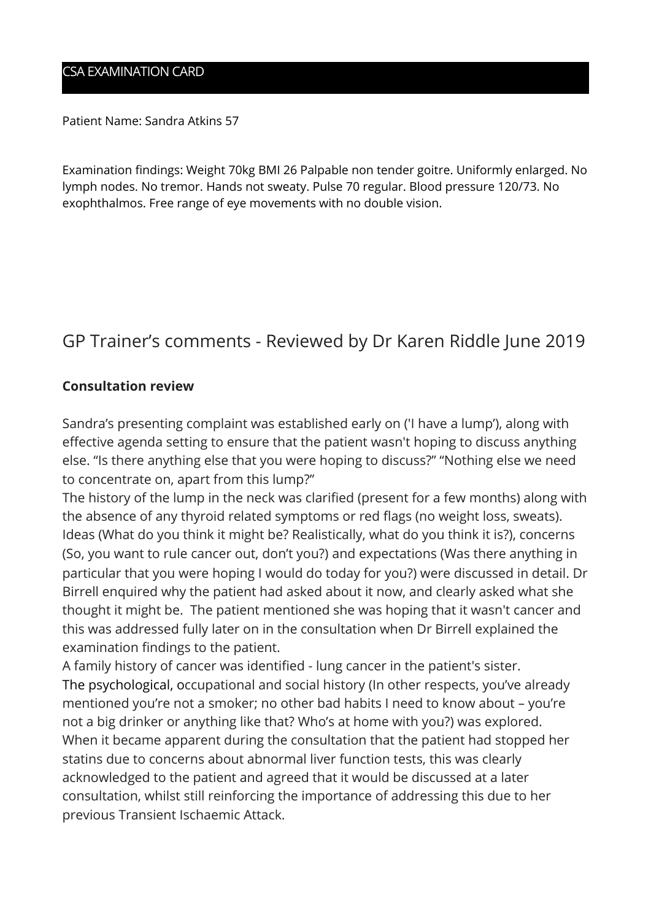### CSA EXAMINATION CARD

Patient Name: Sandra Atkins 57

Examination findings: Weight 70kg BMI 26 Palpable non tender goitre. Uniformly enlarged. No lymph nodes. No tremor. Hands not sweaty. Pulse 70 regular. Blood pressure 120/73. No exophthalmos. Free range of eye movements with no double vision.

# GP Trainer's comments - Reviewed by Dr Karen Riddle June 2019

#### **Consultation review**

Sandra's presenting complaint was established early on ('I have a lump'), along with effective agenda setting to ensure that the patient wasn't hoping to discuss anything else. "Is there anything else that you were hoping to discuss?" "Nothing else we need to concentrate on, apart from this lump?"

The history of the lump in the neck was clarified (present for a few months) along with the absence of any thyroid related symptoms or red flags (no weight loss, sweats). Ideas (What do you think it might be? Realistically, what do you think it is?), concerns (So, you want to rule cancer out, don't you?) and expectations (Was there anything in particular that you were hoping I would do today for you?) were discussed in detail. Dr Birrell enquired why the patient had asked about it now, and clearly asked what she thought it might be. The patient mentioned she was hoping that it wasn't cancer and this was addressed fully later on in the consultation when Dr Birrell explained the examination findings to the patient.

A family history of cancer was identified - lung cancer in the patient's sister. The psychological, occupational and social history (In other respects, you've already mentioned you're not a smoker; no other bad habits I need to know about – you're not a big drinker or anything like that? Who's at home with you?) was explored. When it became apparent during the consultation that the patient had stopped her statins due to concerns about abnormal liver function tests, this was clearly acknowledged to the patient and agreed that it would be discussed at a later consultation, whilst still reinforcing the importance of addressing this due to her previous Transient Ischaemic Attack.